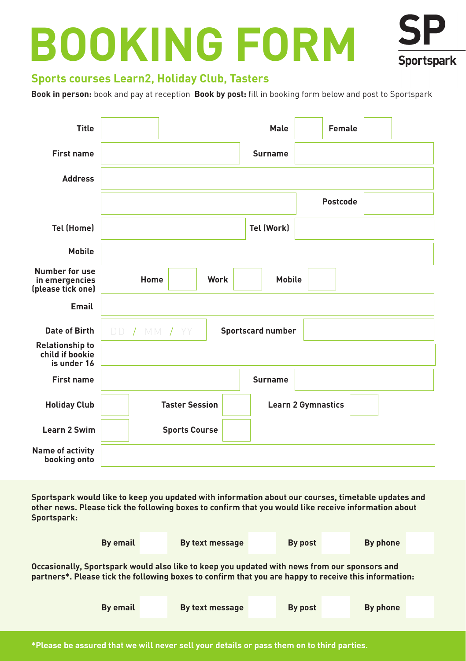# **BOOKING FORM**



# **Sports courses Learn2, Holiday Club, Tasters**

**Book in person:** book and pay at reception **Book by post:** fill in booking form below and post to Sportspark

| <b>Title</b>                                             |                               | Male                     | <b>Female</b>             |  |  |  |  |
|----------------------------------------------------------|-------------------------------|--------------------------|---------------------------|--|--|--|--|
| <b>First name</b>                                        |                               | <b>Surname</b>           |                           |  |  |  |  |
| <b>Address</b>                                           |                               |                          |                           |  |  |  |  |
|                                                          |                               |                          | Postcode                  |  |  |  |  |
| <b>Tel (Home)</b>                                        |                               | <b>Tel (Work)</b>        |                           |  |  |  |  |
| <b>Mobile</b>                                            |                               |                          |                           |  |  |  |  |
| Number for use<br>in emergencies<br>(please tick one)    | Home<br>Work<br><b>Mobile</b> |                          |                           |  |  |  |  |
| Email                                                    |                               |                          |                           |  |  |  |  |
| Date of Birth                                            | DD / MM / YY                  | <b>Sportscard number</b> |                           |  |  |  |  |
| <b>Relationship to</b><br>child if bookie<br>is under 16 |                               |                          |                           |  |  |  |  |
| <b>First name</b>                                        |                               | <b>Surname</b>           |                           |  |  |  |  |
| <b>Holiday Club</b>                                      | <b>Taster Session</b>         |                          | <b>Learn 2 Gymnastics</b> |  |  |  |  |
| Learn 2 Swim                                             | <b>Sports Course</b>          |                          |                           |  |  |  |  |
| Name of activity<br>booking onto                         |                               |                          |                           |  |  |  |  |

**Sportspark would like to keep you updated with information about our courses, timetable updates and other news. Please tick the following boxes to confirm that you would like receive information about Sportspark:**

| By email                                                                                                                                                                                              |  | By text message |  | By post | By phone |  |  |  |
|-------------------------------------------------------------------------------------------------------------------------------------------------------------------------------------------------------|--|-----------------|--|---------|----------|--|--|--|
| Occasionally, Sportspark would also like to keep you updated with news from our sponsors and<br>partners*. Please tick the following boxes to confirm that you are happy to receive this information: |  |                 |  |         |          |  |  |  |
| By email                                                                                                                                                                                              |  | By text message |  | By post | By phone |  |  |  |
|                                                                                                                                                                                                       |  |                 |  |         |          |  |  |  |